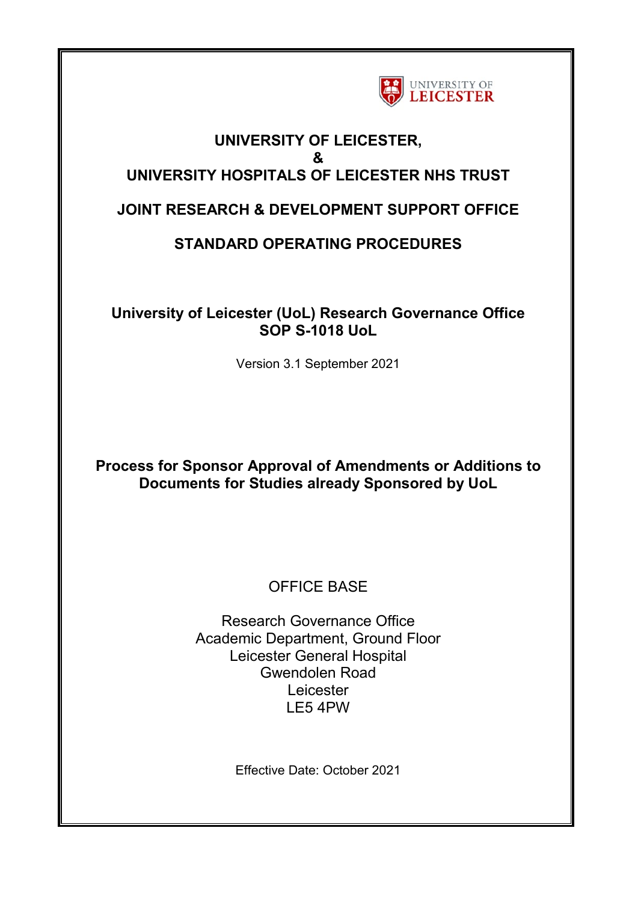

## **UNIVERSITY OF LEICESTER, & UNIVERSITY HOSPITALS OF LEICESTER NHS TRUST**

## **JOINT RESEARCH & DEVELOPMENT SUPPORT OFFICE**

# **STANDARD OPERATING PROCEDURES**

## **University of Leicester (UoL) Research Governance Office SOP S-1018 UoL**

Version 3.1 September 2021

## **Process for Sponsor Approval of Amendments or Additions to Documents for Studies already Sponsored by UoL**

# OFFICE BASE

Research Governance Office Academic Department, Ground Floor Leicester General Hospital Gwendolen Road Leicester LE5 4PW

Effective Date: October 2021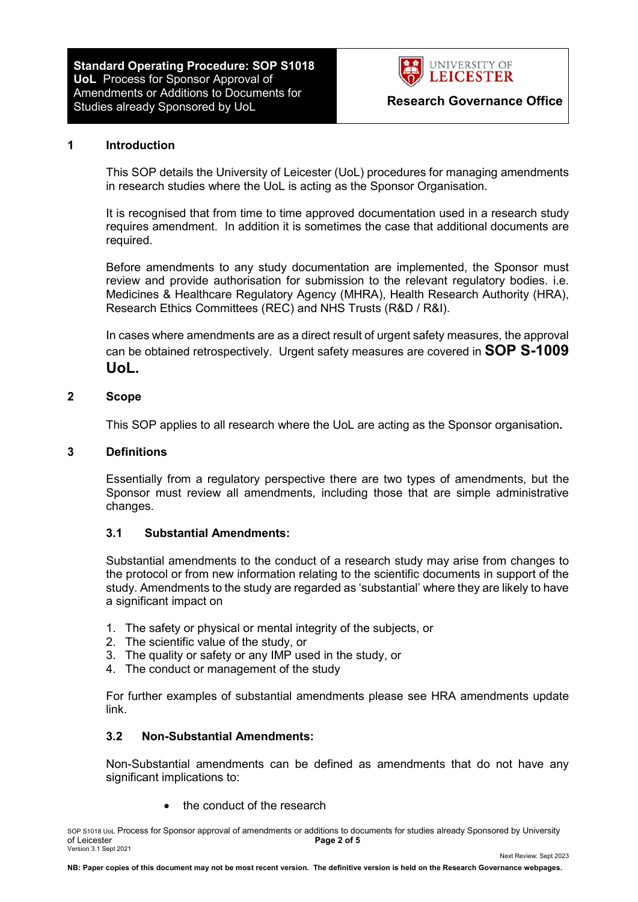**Standard Operating Procedure: SOP S1018 UoL** Process for Sponsor Approval of Amendments or Additions to Documents for Studies already Sponsored by UoL **Research Governance Office**



#### **1 Introduction**

This SOP details the University of Leicester (UoL) procedures for managing amendments in research studies where the UoL is acting as the Sponsor Organisation.

It is recognised that from time to time approved documentation used in a research study requires amendment. In addition it is sometimes the case that additional documents are required.

Before amendments to any study documentation are implemented, the Sponsor must review and provide authorisation for submission to the relevant regulatory bodies. i.e. Medicines & Healthcare Regulatory Agency (MHRA), Health Research Authority (HRA), Research Ethics Committees (REC) and NHS Trusts (R&D / R&I).

In cases where amendments are as a direct result of urgent safety measures, the approval can be obtained retrospectively. Urgent safety measures are covered in **SOP S-1009 UoL.**

#### **2 Scope**

This SOP applies to all research where the UoL are acting as the Sponsor organisation**.** 

#### **3 Definitions**

Essentially from a regulatory perspective there are two types of amendments, but the Sponsor must review all amendments, including those that are simple administrative changes.

#### **3.1 Substantial Amendments:**

Substantial amendments to the conduct of a research study may arise from changes to the protocol or from new information relating to the scientific documents in support of the study. Amendments to the study are regarded as 'substantial' where they are likely to have a significant impact on

- 1. The safety or physical or mental integrity of the subjects, or
- 2. The scientific value of the study, or
- 3. The quality or safety or any IMP used in the study, or
- 4. The conduct or management of the study

For further examples of substantial amendments please see HRA amendments update link.

#### **3.2 Non-Substantial Amendments:**

Non-Substantial amendments can be defined as amendments that do not have any significant implications to:

the conduct of the research

SOP S1018 UoL Process for Sponsor approval of amendments or additions to documents for studies already Sponsored by University<br> **Page 2 of 5**<br> **Page 2 of 5** Page 2 of 5 Version 3.1 Sept 2021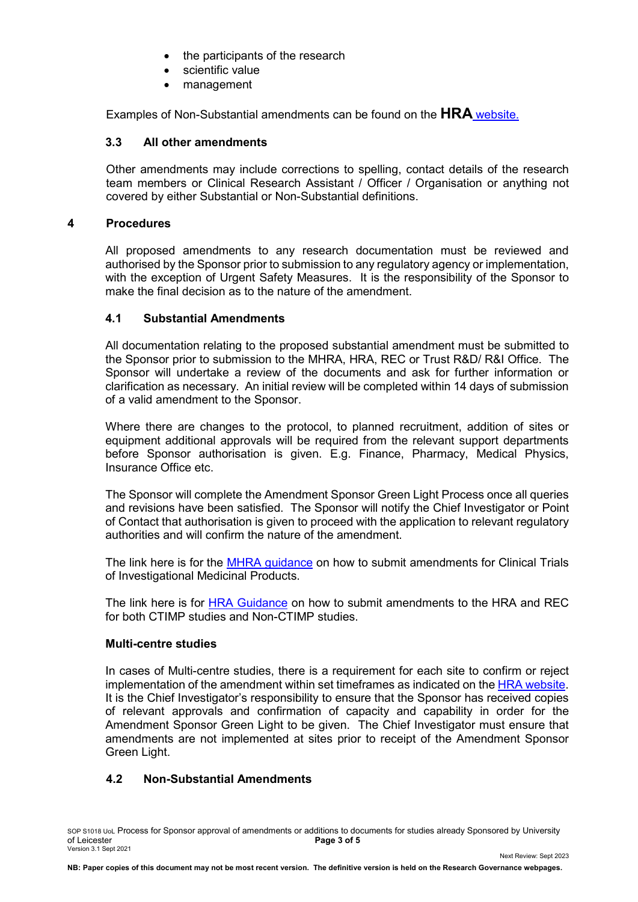- the participants of the research
- scientific value
- management

Examples of Non-Substantial amendments can be found on the **HRA** [website.](http://www.hra.nhs.uk/research-community/during-your-research-project/amendments/definitions-of-substantial-and-non-substantial-amendments/)

### **3.3 All other amendments**

Other amendments may include corrections to spelling, contact details of the research team members or Clinical Research Assistant / Officer / Organisation or anything not covered by either Substantial or Non-Substantial definitions.

### **4 Procedures**

All proposed amendments to any research documentation must be reviewed and authorised by the Sponsor prior to submission to any regulatory agency or implementation, with the exception of Urgent Safety Measures. It is the responsibility of the Sponsor to make the final decision as to the nature of the amendment.

## **4.1 Substantial Amendments**

All documentation relating to the proposed substantial amendment must be submitted to the Sponsor prior to submission to the MHRA, HRA, REC or Trust R&D/ R&I Office. The Sponsor will undertake a review of the documents and ask for further information or clarification as necessary. An initial review will be completed within 14 days of submission of a valid amendment to the Sponsor.

Where there are changes to the protocol, to planned recruitment, addition of sites or equipment additional approvals will be required from the relevant support departments before Sponsor authorisation is given. E.g. Finance, Pharmacy, Medical Physics, Insurance Office etc.

The Sponsor will complete the Amendment Sponsor Green Light Process once all queries and revisions have been satisfied. The Sponsor will notify the Chief Investigator or Point of Contact that authorisation is given to proceed with the application to relevant regulatory authorities and will confirm the nature of the amendment.

The link here is for the [MHRA guidance](http://www.mhra.gov.uk/Howweregulate/Medicines/Licensingofmedicines/Clinicaltrials/ManagingyourCTA/Amendments/Generalinformation/index.htm) on how to submit amendments for Clinical Trials of Investigational Medicinal Products.

The link here is for [HRA](http://www.nres.nhs.uk/applications/after-ethical-review/notification-of-amendments/examples-of-substantial-and-non-substantial-amendments) Guidance on how to submit amendments to the HRA and REC for both CTIMP studies and Non-CTIMP studies.

### **Multi-centre studies**

In cases of Multi-centre studies, there is a requirement for each site to confirm or reject implementation of the amendment within set timeframes as indicated on the **HRA website**. It is the Chief Investigator's responsibility to ensure that the Sponsor has received copies of relevant approvals and confirmation of capacity and capability in order for the Amendment Sponsor Green Light to be given. The Chief Investigator must ensure that amendments are not implemented at sites prior to receipt of the Amendment Sponsor Green Light.

## **4.2 Non-Substantial Amendments**

SOP S1018 UoL Process for Sponsor approval of amendments or additions to documents for studies already Sponsored by University<br> **Page 3 of 5**<br> **Page 3 of 5** Page 3 of 5 Version 3.1 Sept 2021

Next Review: Sept 2023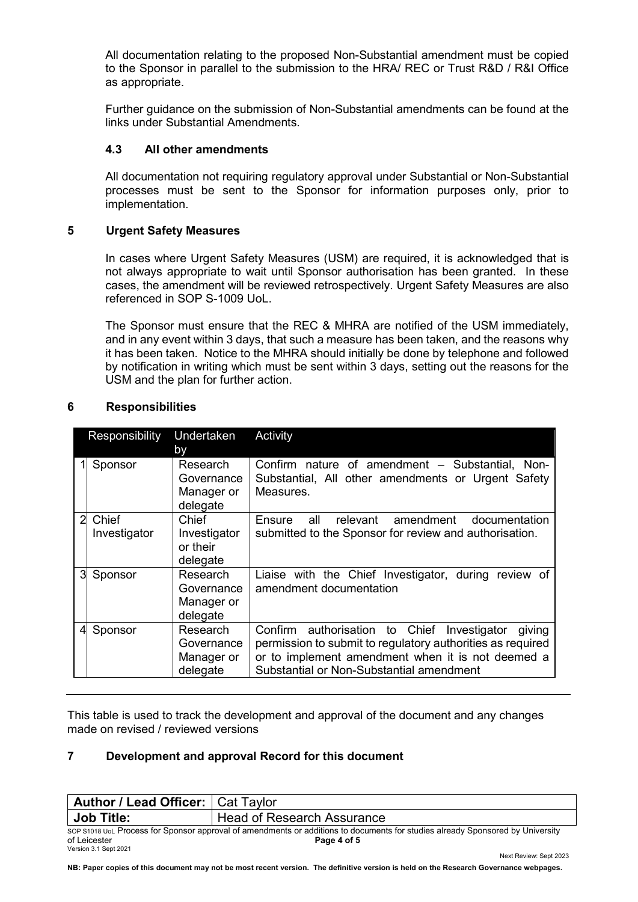All documentation relating to the proposed Non-Substantial amendment must be copied to the Sponsor in parallel to the submission to the HRA/ REC or Trust R&D / R&I Office as appropriate.

Further guidance on the submission of Non-Substantial amendments can be found at the links under Substantial Amendments.

#### **4.3 All other amendments**

All documentation not requiring regulatory approval under Substantial or Non-Substantial processes must be sent to the Sponsor for information purposes only, prior to implementation.

#### **5 Urgent Safety Measures**

In cases where Urgent Safety Measures (USM) are required, it is acknowledged that is not always appropriate to wait until Sponsor authorisation has been granted. In these cases, the amendment will be reviewed retrospectively. Urgent Safety Measures are also referenced in SOP S-1009 UoL.

The Sponsor must ensure that the REC & MHRA are notified of the USM immediately, and in any event within 3 days, that such a measure has been taken, and the reasons why it has been taken. Notice to the MHRA should initially be done by telephone and followed by notification in writing which must be sent within 3 days, setting out the reasons for the USM and the plan for further action.

| Undertaken<br>Responsibility<br>by |                       |                                                  | Activity                                                                                                                                                                                                                |
|------------------------------------|-----------------------|--------------------------------------------------|-------------------------------------------------------------------------------------------------------------------------------------------------------------------------------------------------------------------------|
|                                    | Sponsor               | Research<br>Governance<br>Manager or<br>delegate | Confirm nature of amendment - Substantial, Non-<br>Substantial, All other amendments or Urgent Safety<br>Measures.                                                                                                      |
| $\overline{2}$                     | Chief<br>Investigator | Chief<br>Investigator<br>or their<br>delegate    | relevant<br>amendment<br>all<br>Ensure<br>documentation<br>submitted to the Sponsor for review and authorisation.                                                                                                       |
| 3                                  | Sponsor               | Research<br>Governance<br>Manager or<br>delegate | Liaise with the Chief Investigator, during review of<br>amendment documentation                                                                                                                                         |
| 4                                  | Sponsor               | Research<br>Governance<br>Manager or<br>delegate | Confirm authorisation to Chief<br>Investigator<br>giving<br>permission to submit to regulatory authorities as required<br>or to implement amendment when it is not deemed a<br>Substantial or Non-Substantial amendment |

#### **6 Responsibilities**

This table is used to track the development and approval of the document and any changes made on revised / reviewed versions

### **7 Development and approval Record for this document**

| <b>Author / Lead Officer:   Cat Taylor</b>                                                                                     |                                   |  |  |  |  |
|--------------------------------------------------------------------------------------------------------------------------------|-----------------------------------|--|--|--|--|
| <b>Job Title:</b>                                                                                                              | <b>Head of Research Assurance</b> |  |  |  |  |
| SOP S1018 UoL Process for Sponsor approval of amendments or additions to documents for studies already Sponsored by University |                                   |  |  |  |  |
| of Leicester                                                                                                                   | Page 4 of 5                       |  |  |  |  |
| Version 3.1 Sept 2021                                                                                                          | Next Review: Sept 2023            |  |  |  |  |

**NB: Paper copies of this document may not be most recent version. The definitive version is held on the Research Governance webpages.**